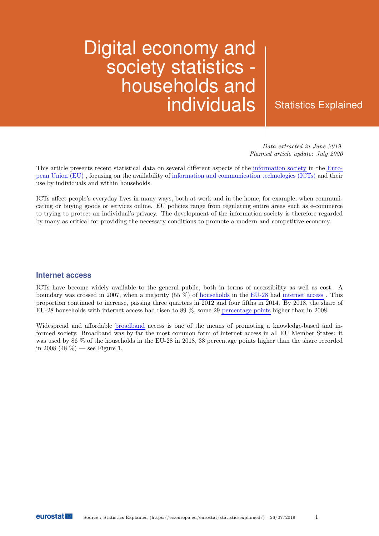# Digital economy and society statistics households and individuals | Statistics Explained

Data extracted in June 2019. Planned article update: July 2020

This article presents recent statistical data on several different aspects of the [information society](http://ec.europa.eu/eurostat/web/digital-economy-and-society/overview) in the [Euro](https://ec.europa.eu/eurostat/statistics-explained/index.php/Glossary:European_Union_(EU))[pean Union \(EU\)](https://ec.europa.eu/eurostat/statistics-explained/index.php/Glossary:European_Union_(EU)) , focusing on the availability of [information and communication technologies \(ICTs\)](https://ec.europa.eu/eurostat/statistics-explained/index.php/Glossary:Information_and_communication_technology_(ICT)) and their use by individuals and within households.

ICTs affect people's everyday lives in many ways, both at work and in the home, for example, when communicating or buying goods or services online. EU policies range from regulating entire areas such as e-commerce to trying to protect an individual's privacy. The development of the information society is therefore regarded by many as critical for providing the necessary conditions to promote a modern and competitive economy.

#### **Internet access**

ICTs have become widely available to the general public, both in terms of accessibility as well as cost. A boundary was crossed in 2007, when a majority (55 %) of [households](https://ec.europa.eu/eurostat/statistics-explained/index.php/Glossary:Household) in the [EU-28](https://ec.europa.eu/eurostat/statistics-explained/index.php/Glossary:EU_enlargements) had [internet access](https://ec.europa.eu/eurostat/statistics-explained/index.php/Glossary:Internet_access) . This proportion continued to increase, passing three quarters in 2012 and four fifths in 2014. By 2018, the share of EU-28 households with internet access had risen to 89 %, some 29 [percentage points](https://ec.europa.eu/eurostat/statistics-explained/index.php/Glossary:Percentage_point) higher than in 2008.

Widespread and affordable [broadband](https://ec.europa.eu/eurostat/statistics-explained/index.php/Glossary:Broadband) access is one of the means of promoting a knowledge-based and informed society. Broadband was by far the most common form of internet access in all EU Member States: it was used by 86 % of the households in the EU-28 in 2018, 38 percentage points higher than the share recorded in 2008 (48 %) — see Figure 1.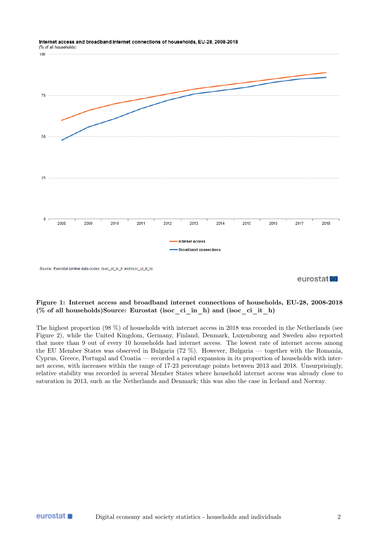

#### Internet access and broadband internet connections of households, EU-28, 2008-2018 (% of all households)

eurostat<sup>o</sup>

#### Figure 1: Internet access and broadband internet connections of households, EU-28, 2008-2018  $(\%$  of all households)Source: Eurostat (isoc\_ci\_in\_h) and (isoc\_ci\_it\_h)

The highest proportion (98 %) of households with internet access in 2018 was recorded in the Netherlands (see Figure 2), while the United Kingdom, Germany, Finland, Denmark, Luxembourg and Sweden also reported that more than 9 out of every 10 households had internet access. The lowest rate of internet access among the EU Member States was observed in Bulgaria (72 %). However, Bulgaria — together with the Romania, Cyprus, Greece, Portugal and Croatia — recorded a rapid expansion in its proportion of households with internet access, with increases within the range of 17-23 percentage points between 2013 and 2018. Unsurprisingly, relative stability was recorded in several Member States where household internet access was already close to saturation in 2013, such as the Netherlands and Denmark; this was also the case in Iceland and Norway.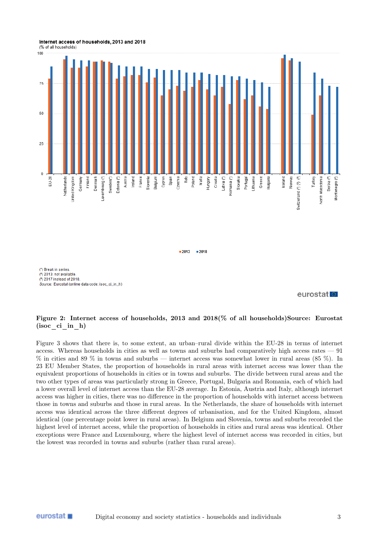Internet access of households, 2013 and 2018 (% of all households)





 $-2013$  $\blacksquare 2018$ 

(\*) Break in series (2) 2013; not available

(2) 2017 instead of 2018 Source: Eurostat (online data code: isoc\_ci\_in\_h)

#### eurostat<sup>o</sup>

#### Figure 2: Internet access of households, 2013 and 2018(% of all households)Source: Eurostat (isoc ci in h)

Figure 3 shows that there is, to some extent, an urban–rural divide within the EU-28 in terms of internet access. Whereas households in cities as well as towns and suburbs had comparatively high access rates — 91 % in cities and 89 % in towns and suburbs — internet access was somewhat lower in rural areas (85 %). In 23 EU Member States, the proportion of households in rural areas with internet access was lower than the equivalent proportions of households in cities or in towns and suburbs. The divide between rural areas and the two other types of areas was particularly strong in Greece, Portugal, Bulgaria and Romania, each of which had a lower overall level of internet access than the EU-28 average. In Estonia, Austria and Italy, although internet access was higher in cities, there was no difference in the proportion of households with internet access between those in towns and suburbs and those in rural areas. In the Netherlands, the share of households with internet access was identical across the three different degrees of urbanisation, and for the United Kingdom, almost identical (one percentage point lower in rural areas). In Belgium and Slovenia, towns and suburbs recorded the highest level of internet access, while the proportion of households in cities and rural areas was identical. Other exceptions were France and Luxembourg, where the highest level of internet access was recorded in cities, but the lowest was recorded in towns and suburbs (rather than rural areas).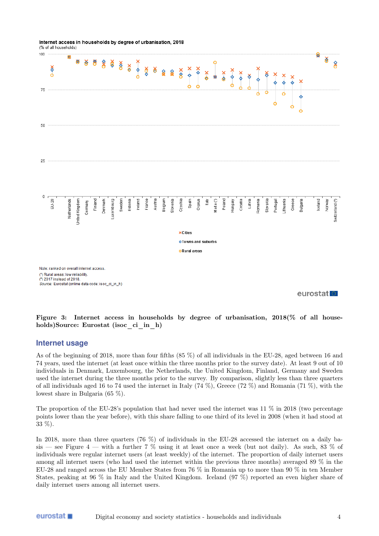Internet access in households by degree of urbanisation, 2018

(% of all households)



Figure 3: Internet access in households by degree of urbanisation, 2018(% of all households)Source: Eurostat (isoc\_ci\_in\_h)

#### **Internet usage**

eurostat ■

As of the beginning of 2018, more than four fifths (85 %) of all individuals in the EU-28, aged between 16 and 74 years, used the internet (at least once within the three months prior to the survey date). At least 9 out of 10 individuals in Denmark, Luxembourg, the Netherlands, the United Kingdom, Finland, Germany and Sweden used the internet during the three months prior to the survey. By comparison, slightly less than three quarters of all individuals aged 16 to 74 used the internet in Italy (74 %), Greece (72 %) and Romania (71 %), with the lowest share in Bulgaria (65 %).

The proportion of the EU-28's population that had never used the internet was  $11\%$  in 2018 (two percentage points lower than the year before), with this share falling to one third of its level in 2008 (when it had stood at 33 %).

In 2018, more than three quarters (76 %) of individuals in the EU-28 accessed the internet on a daily basis — see Figure 4 — with a further 7 % using it at least once a week (but not daily). As such, 83 % of individuals were regular internet users (at least weekly) of the internet. The proportion of daily internet users among all internet users (who had used the internet within the previous three months) averaged 89 % in the EU-28 and ranged across the EU Member States from 76 % in Romania up to more than 90 % in ten Member States, peaking at 96 % in Italy and the United Kingdom. Iceland (97 %) reported an even higher share of daily internet users among all internet users.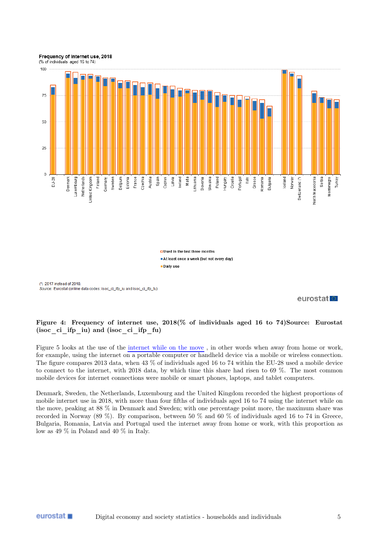

**OUsed in the last three months** At least once a week (but not every day) Daily use

(\*) 2017 instead of 2018. Source: Eurostat (online data codes: isoc\_ci\_ifp\_iu and isoc\_ci\_ifp\_fu)

#### eurostat<sup>1</sup>

#### Figure 4: Frequency of internet use, 2018(% of individuals aged 16 to 74)Source: Eurostat (isoc ci ifp iu) and (isoc ci ifp fu)

Figure 5 looks at the use of the [internet while on the move](https://ec.europa.eu/eurostat/statistics-explained/index.php/Glossary:Mobile_internet_usage) , in other words when away from home or work, for example, using the internet on a portable computer or handheld device via a mobile or wireless connection. The figure compares 2013 data, when 43 % of individuals aged 16 to 74 within the EU-28 used a mobile device to connect to the internet, with 2018 data, by which time this share had risen to 69 %. The most common mobile devices for internet connections were mobile or smart phones, laptops, and tablet computers.

Denmark, Sweden, the Netherlands, Luxembourg and the United Kingdom recorded the highest proportions of mobile internet use in 2018, with more than four fifths of individuals aged 16 to 74 using the internet while on the move, peaking at 88 % in Denmark and Sweden; with one percentage point more, the maximum share was recorded in Norway (89 %). By comparison, between 50 % and 60 % of individuals aged 16 to 74 in Greece, Bulgaria, Romania, Latvia and Portugal used the internet away from home or work, with this proportion as low as 49 % in Poland and 40 % in Italy.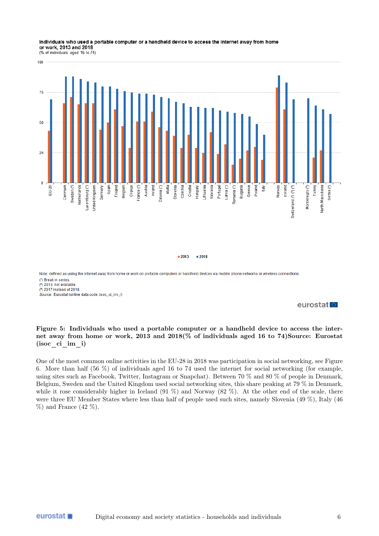#### Individuals who used a portable computer or a handheld device to access the internet away from home or work, 2013 and 2018

(% of individuals aged 16 to 74)



 $-2013$  $-2018$ 

Note: defined as using the internet away from home or work on portable computers or handheld devices via mobile phone networks or wireless connections. (\*) Break in series  $\frac{1}{2}$  2013: not available (2) 2017 instead of 2018. Source: Eurostat (online data code: isoc\_ci\_im\_i)

#### eurostat<sup>o</sup>

#### Figure 5: Individuals who used a portable computer or a handheld device to access the internet away from home or work, 2013 and 2018(% of individuals aged 16 to 74)Source: Eurostat (isoc\_ci\_im\_i)

One of the most common online activities in the EU-28 in 2018 was participation in social networking, see Figure 6. More than half (56 %) of individuals aged 16 to 74 used the internet for social networking (for example, using sites such as Facebook, Twitter, Instagram or Snapchat). Between 70 % and 80 % of people in Denmark, Belgium, Sweden and the United Kingdom used social networking sites, this share peaking at 79 % in Denmark, while it rose considerably higher in Iceland  $(91\%)$  and Norway  $(82\%)$ . At the other end of the scale, there were three EU Member States where less than half of people used such sites, namely Slovenia (49 %), Italy (46  $%$ ) and France (42 %).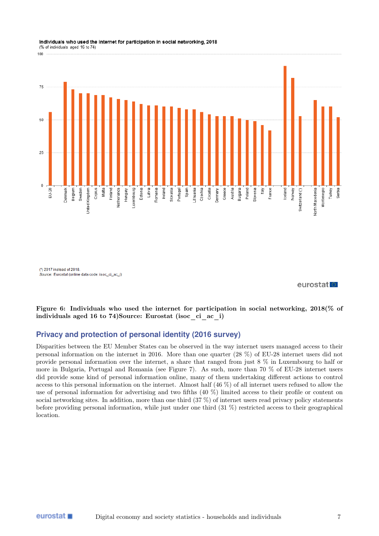#### 100  $75$  $5($ 25  $\mathbf 0$ Austria EU-28 Belgium Cyprus Malta Finland Latvia Ireland Spain Croatia Bulgaria Poland Germany France Montenegro Turkey Serbia Jenmark Sweden **Jnited Kingdom** Vetherlands Hungary \_uxembourg Estonia Romania Slovakia Portugal Lithuania Czechia Greece Slovenia It aly lceland Norway Switzerland (\*) North Macedonia

Individuals who used the internet for participation in social networking, 2018 (% of individuals aged 16 to 74)

(\*) 2017 instead of 2018. Source: Eurostat (online data code: isoc\_ci\_ac\_i)

eurostatlo

Figure 6: Individuals who used the internet for participation in social networking, 2018(% of individuals aged 16 to 74)Source: Eurostat (isoc\_ci\_ac\_i)

## **Privacy and protection of personal identity (2016 survey)**

Disparities between the EU Member States can be observed in the way internet users managed access to their personal information on the internet in 2016. More than one quarter (28 %) of EU-28 internet users did not provide personal information over the internet, a share that ranged from just 8 % in Luxembourg to half or more in Bulgaria, Portugal and Romania (see Figure 7). As such, more than 70 % of EU-28 internet users did provide some kind of personal information online, many of them undertaking different actions to control access to this personal information on the internet. Almost half (46 %) of all internet users refused to allow the use of personal information for advertising and two fifths (40 %) limited access to their profile or content on social networking sites. In addition, more than one third (37 %) of internet users read privacy policy statements before providing personal information, while just under one third (31 %) restricted access to their geographical location.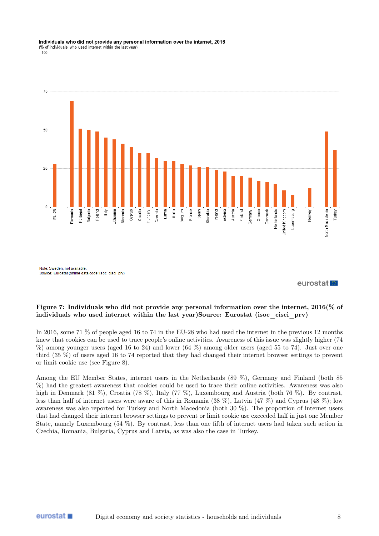#### Individuals who did not provide any personal information over the internet, 2016 (% of individuals who used internet within the last year)

100



Source: Eurostat (online data code: isoc\_cisci\_prv)

eurostat<sup>1</sup>

#### Figure 7: Individuals who did not provide any personal information over the internet, 2016(% of individuals who used internet within the last year)Source: Eurostat (isoc\_cisci\_prv)

In 2016, some 71 % of people aged 16 to 74 in the EU-28 who had used the internet in the previous 12 months knew that cookies can be used to trace people's online activities. Awareness of this issue was slightly higher (74 %) among younger users (aged 16 to 24) and lower (64 %) among older users (aged 55 to 74). Just over one third (35 %) of users aged 16 to 74 reported that they had changed their internet browser settings to prevent or limit cookie use (see Figure 8).

Among the EU Member States, internet users in the Netherlands (89 %), Germany and Finland (both 85 %) had the greatest awareness that cookies could be used to trace their online activities. Awareness was also high in Denmark (81 %), Croatia (78 %), Italy (77 %), Luxembourg and Austria (both 76 %). By contrast, less than half of internet users were aware of this in Romania (38 %), Latvia (47 %) and Cyprus (48 %); low awareness was also reported for Turkey and North Macedonia (both 30 %). The proportion of internet users that had changed their internet browser settings to prevent or limit cookie use exceeded half in just one Member State, namely Luxembourg (54 %). By contrast, less than one fifth of internet users had taken such action in Czechia, Romania, Bulgaria, Cyprus and Latvia, as was also the case in Turkey.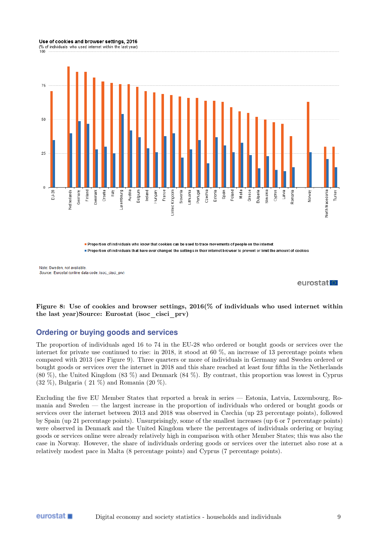#### Use of cookies and browser settings, 2016

(% of individuals who used internet within the last year)  $100$ 



**•** Proportion of individuals who know that cookies can be used to trace movements of people on the internet proportion of individuals that have ever changed the settings in their internet browser to prevent or limit the amount of cookies

Note: Sweden, not available Source: Eurostat (online data code: isoc. cisci, prv)

eurostat<sup>1</sup>

Figure 8: Use of cookies and browser settings, 2016(% of individuals who used internet within the last year)Source: Eurostat (isoc\_cisci\_prv)

### **Ordering or buying goods and services**

The proportion of individuals aged 16 to 74 in the EU-28 who ordered or bought goods or services over the internet for private use continued to rise: in 2018, it stood at 60 %, an increase of 13 percentage points when compared with 2013 (see Figure 9). Three quarters or more of individuals in Germany and Sweden ordered or bought goods or services over the internet in 2018 and this share reached at least four fifths in the Netherlands (80 %), the United Kingdom (83 %) and Denmark (84 %). By contrast, this proportion was lowest in Cyprus (32 %), Bulgaria ( 21 %) and Romania (20 %).

Excluding the five EU Member States that reported a break in series — Estonia, Latvia, Luxembourg, Romania and Sweden — the largest increase in the proportion of individuals who ordered or bought goods or services over the internet between 2013 and 2018 was observed in Czechia (up 23 percentage points), followed by Spain (up 21 percentage points). Unsurprisingly, some of the smallest increases (up 6 or 7 percentage points) were observed in Denmark and the United Kingdom where the percentages of individuals ordering or buying goods or services online were already relatively high in comparison with other Member States; this was also the case in Norway. However, the share of individuals ordering goods or services over the internet also rose at a relatively modest pace in Malta (8 percentage points) and Cyprus (7 percentage points).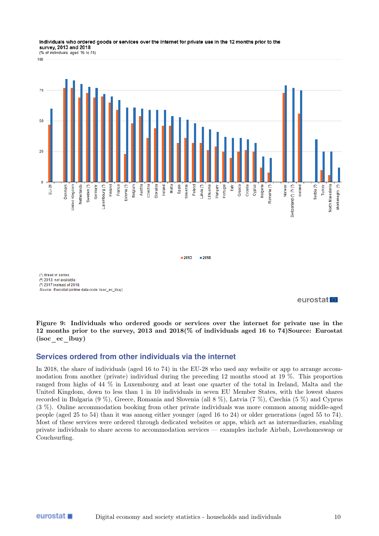#### Individuals who ordered goods or services over the internet for private use in the 12 months prior to the survey, 2013 and 2018

(% of individuals aged 16 to 74) 100



 $2013$  $= 2018$ 

(\*) Break in series (2) 2013: not available (\*) 2017 instead of 2018 Source: Eurostat (online data code: isoc\_ec\_ibuy)

eurostat<sup>o</sup>

Figure 9: Individuals who ordered goods or services over the internet for private use in the 12 months prior to the survey, 2013 and 2018(% of individuals aged 16 to 74)Source: Eurostat (isoc ec ibuy)

### **Services ordered from other individuals via the internet**

In 2018, the share of individuals (aged 16 to 74) in the EU-28 who used any website or app to arrange accommodation from another (private) individual during the preceding 12 months stood at 19 %. This proportion ranged from highs of 44 % in Luxembourg and at least one quarter of the total in Ireland, Malta and the United Kingdom, down to less than 1 in 10 individuals in seven EU Member States, with the lowest shares recorded in Bulgaria (9 %), Greece, Romania and Slovenia (all 8 %), Latvia (7 %), Czechia (5 %) and Cyprus (3 %). Online accommodation booking from other private individuals was more common among middle-aged people (aged 25 to 54) than it was among either younger (aged 16 to 24) or older generations (aged 55 to 74). Most of these services were ordered through dedicated websites or apps, which act as intermediaries, enabling private individuals to share access to accommodation services — examples include Airbnb, Lovehomeswap or Couchsurfing.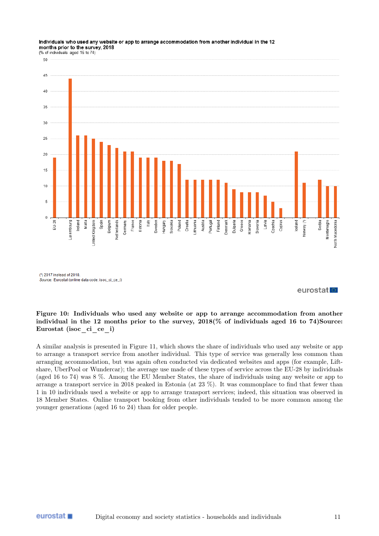#### Individuals who used any website or app to arrange accommodation from another individual in the 12 months prior to the survey, 2018



eurostat<sup>o</sup>

#### Figure 10: Individuals who used any website or app to arrange accommodation from another individual in the 12 months prior to the survey,  $2018\%$  of individuals aged 16 to 74)Source: Eurostat (isoc\_ci\_ce\_i)

A similar analysis is presented in Figure 11, which shows the share of individuals who used any website or app to arrange a transport service from another individual. This type of service was generally less common than arranging accommodation, but was again often conducted via dedicated websites and apps (for example, Liftshare, UberPool or Wundercar); the average use made of these types of service across the EU-28 by individuals (aged 16 to 74) was 8 %. Among the EU Member States, the share of individuals using any website or app to arrange a transport service in 2018 peaked in Estonia (at 23 %). It was commonplace to find that fewer than 1 in 10 individuals used a website or app to arrange transport services; indeed, this situation was observed in 18 Member States. Online transport booking from other individuals tended to be more common among the younger generations (aged 16 to 24) than for older people.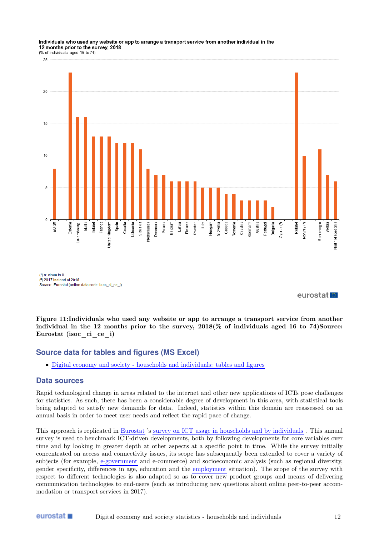#### Individuals who used any website or app to arrange a transport service from another individual in the 12 months prior to the survey, 2018



 $(')$  n: close to 0 (2) 2017 instead of 2018 Source: Eurostat (online data code: isoc\_ci\_ce\_i)

eurostat

Figure 11:Individuals who used any website or app to arrange a transport service from another individual in the 12 months prior to the survey,  $2018\%$  of individuals aged 16 to 74)Source: Eurostat (isoc\_ci\_ce\_i)

### **Source data for tables and figures (MS Excel)**

• [Digital economy and society - households and individuals: tables and figures](https://ec.europa.eu/eurostat/statistics-explained/images/0/0c/Digital_economy_and_society_-_households_and_individuals_FP2019.xlsx)

#### **Data sources**

Rapid technological change in areas related to the internet and other new applications of ICTs pose challenges for statistics. As such, there has been a considerable degree of development in this area, with statistical tools being adapted to satisfy new demands for data. Indeed, statistics within this domain are reassessed on an annual basis in order to meet user needs and reflect the rapid pace of change.

This approach is replicated in [Eurostat](https://ec.europa.eu/eurostat/statistics-explained/index.php/Glossary:Eurostat) 's [survey on ICT usage in households and by individuals](https://ec.europa.eu/eurostat/statistics-explained/index.php/Glossary:Community_survey_on_ICT_usage_in_households_and_by_individuals) . This annual survey is used to benchmark ICT-driven developments, both by following developments for core variables over time and by looking in greater depth at other aspects at a specific point in time. While the survey initially concentrated on access and connectivity issues, its scope has subsequently been extended to cover a variety of subjects (for example, [e-government](https://ec.europa.eu/eurostat/statistics-explained/index.php/Glossary:E-government) and e-commerce) and socioeconomic analysis (such as regional diversity, gender specificity, differences in age, education and the [employment](https://ec.europa.eu/eurostat/statistics-explained/index.php/Glossary:Employment) situation). The scope of the survey with respect to different technologies is also adapted so as to cover new product groups and means of delivering communication technologies to end-users (such as introducing new questions about online peer-to-peer accommodation or transport services in 2017).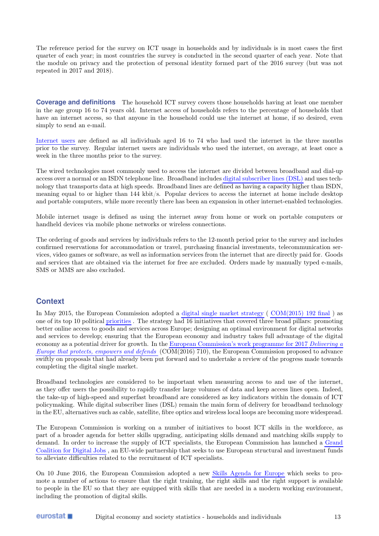The reference period for the survey on ICT usage in households and by individuals is in most cases the first quarter of each year; in most countries the survey is conducted in the second quarter of each year. Note that the module on privacy and the protection of personal identity formed part of the 2016 survey (but was not repeated in 2017 and 2018).

**Coverage and definitions** The household ICT survey covers those households having at least one member in the age group 16 to 74 years old. Internet access of households refers to the percentage of households that have an internet access, so that anyone in the household could use the internet at home, if so desired, even simply to send an e-mail.

[Internet users](https://ec.europa.eu/eurostat/statistics-explained/index.php/Glossary:Internet_user) are defined as all individuals aged 16 to 74 who had used the internet in the three months prior to the survey. Regular internet users are individuals who used the internet, on average, at least once a week in the three months prior to the survey.

The wired technologies most commonly used to access the internet are divided between broadband and dial-up access over a normal or an ISDN telephone line. Broadband includes [digital subscriber lines \(DSL\)](https://ec.europa.eu/eurostat/statistics-explained/index.php/Glossary:Digital_subscriber_line_(DSL)) and uses technology that transports data at high speeds. Broadband lines are defined as having a capacity higher than ISDN, meaning equal to or higher than 144 kbit/s. Popular devices to access the internet at home include desktop and portable computers, while more recently there has been an expansion in other internet-enabled technologies.

Mobile internet usage is defined as using the internet away from home or work on portable computers or handheld devices via mobile phone networks or wireless connections.

The ordering of goods and services by individuals refers to the 12-month period prior to the survey and includes confirmed reservations for accommodation or travel, purchasing financial investments, telecommunication services, video games or software, as well as information services from the internet that are directly paid for. Goods and services that are obtained via the internet for free are excluded. Orders made by manually typed e-mails, SMS or MMS are also excluded.

#### **Context**

In May 2015, the European Commission adopted a [digital single market strategy](http://ec.europa.eu/priorities/digital-single-market/index_en.htm) ( [COM\(2015\) 192 final](http://eur-lex.europa.eu/LexUriServ/LexUriServ.do?uri=CELEX:52015DC0192:EN:NOT) ) as one of its top 10 political [priorities](http://ec.europa.eu/priorities/index_en.htm) . The strategy had 16 initiatives that covered three broad pillars: promoting better online access to goods and services across Europe; designing an optimal environment for digital networks and services to develop; ensuring that the European economy and industry takes full advantage of the digital economy as a potential driver for growth. In the [European Commission's work programme for 2017](https://ec.europa.euhttps://ec.europa.eu/info/publications/work-programme-commission-key-documents-2017_en) [Delivering a](http://eur-lex.europa.eu/LexUriServ/LexUriServ.do?uri=CELEX:52016DC0710:EN:NOT) [Europe that protects, empowers and defends](http://eur-lex.europa.eu/LexUriServ/LexUriServ.do?uri=CELEX:52016DC0710:EN:NOT) (COM(2016) 710), the European Commission proposed to advance swiftly on proposals that had already been put forward and to undertake a review of the progress made towards completing the digital single market.

Broadband technologies are considered to be important when measuring access to and use of the internet, as they offer users the possibility to rapidly transfer large volumes of data and keep access lines open. Indeed, the take-up of high-speed and superfast broadband are considered as key indicators within the domain of ICT policymaking. While digital subscriber lines (DSL) remain the main form of delivery for broadband technology in the EU, alternatives such as cable, satellite, fibre optics and wireless local loops are becoming more widespread.

The European Commission is working on a number of initiatives to boost ICT skills in the workforce, as part of a broader agenda for better skills upgrading, anticipating skills demand and matching skills supply to demand. In order to increase the supply of ICT specialists, the European Commission has launched a [Grand](http://ec.europa.eu/digital-single-market/en/grand-coalition-digital-jobs) [Coalition for Digital Jobs](http://ec.europa.eu/digital-single-market/en/grand-coalition-digital-jobs) , an EU-wide partnership that seeks to use European structural and investment funds to alleviate difficulties related to the recruitment of ICT specialists.

On 10 June 2016, the European Commission adopted a new [Skills Agenda for Europe](http://ec.europa.eu/education/news/2016/0610-education-skills-factsheet_en.htm) which seeks to promote a number of actions to ensure that the right training, the right skills and the right support is available to people in the EU so that they are equipped with skills that are needed in a modern working environment, including the promotion of digital skills.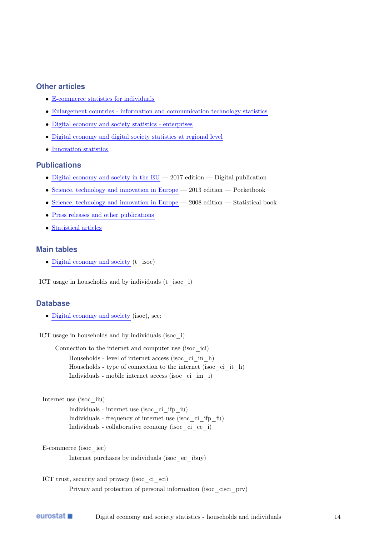### **Other articles**

- [E-commerce statistics for individuals](https://ec.europa.eu/eurostat/statistics-explained/index.php/E-commerce_statistics_for_individuals)
- [Enlargement countries information and communication technology statistics](https://ec.europa.eu/eurostat/statistics-explained/index.php/Enlargement_countries_-_information_and_communication_technology_statistics)
- [Digital economy and society statistics enterprises](https://ec.europa.eu/eurostat/statistics-explained/index.php/Digital_economy_and_society_statistics_-_enterprises)
- [Digital economy and digital society statistics at regional level](https://ec.europa.eu/eurostat/statistics-explained/index.php/Digital_economy_and_digital_society_statistics_at_regional_level)
- [Innovation statistics](https://ec.europa.eu/eurostat/statistics-explained/index.php/Innovation_statistics)

### **Publications**

- Digital economy and society in the  $EU 2017$  edition Digital publication
- [Science, technology and innovation in Europe](http://ec.europa.eu/eurostat/product?code=KS-GN-13-001&language=en) 2013 edition Pocketbook
- [Science, technology and innovation in Europe](http://ec.europa.eu/eurostat/product?code=KS-EM-08-001&language=en) 2008 edition Statistical book
- [Press releases and other publications](http://ec.europa.eu/eurostat/web/digital-economy-and-society/publications)
- [Statistical articles](http://ec.europa.eu/eurostat/web/digital-economy-and-society/publications/statistical-articles)

### **Main tables**

• [Digital economy and society](https://ec.europa.euhttps://ec.europa.eu/eurostat/web/digital-economy-and-society/data/main-tables) (t\_isoc)

ICT usage in households and by individuals (t\_isoc\_i)

#### **Database**

• [Digital economy and society](http://ec.europa.eu/eurostat/web/digital-economy-and-society/data/database) (isoc), see:

ICT usage in households and by individuals (isoc\_i)

Connection to the internet and computer use (isoc\_ici)

Households - level of internet access (isoc\_ci\_in\_h) Households - type of connection to the internet (isoc\_ci\_it\_h) Individuals - mobile internet access (isoc\_ci\_im\_i)

Internet use (isoc\_iiu)

Individuals - internet use (isoc\_ci\_ifp\_iu) Individuals - frequency of internet use (isoc\_ci\_ifp\_fu) Individuals - collaborative economy (isoc\_ci\_ce\_i)

E-commerce (isoc\_iec)

Internet purchases by individuals (isoc\_ec\_ibuy)

ICT trust, security and privacy (isoc\_ci\_sci) Privacy and protection of personal information (isoc\_cisci\_prv)